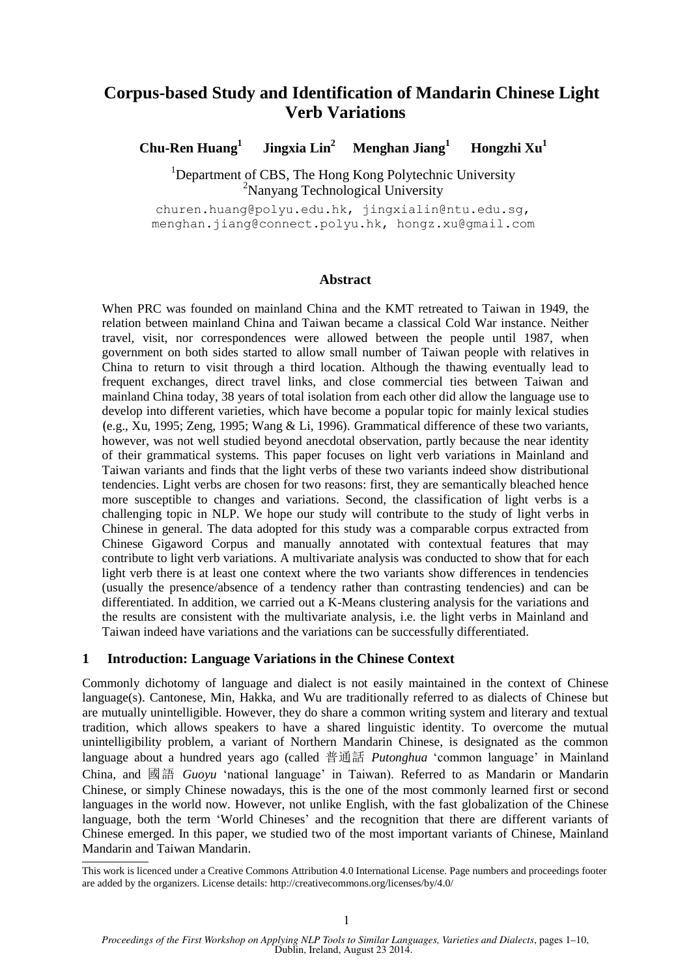# **Corpus-based Study and Identification of Mandarin Chinese Light Verb Variations**

**Chu-Ren Huang<sup>1</sup> Jingxia Lin<sup>2</sup> Menghan Jiang<sup>1</sup> Hongzhi Xu<sup>1</sup>**

<sup>1</sup>Department of CBS, The Hong Kong Polytechnic University <sup>2</sup>Nanyang Technological University

churen.huang@polyu.edu.hk, jingxialin@ntu.edu.sg, menghan.jiang@connect.polyu.hk, hongz.xu@gmail.com

# **Abstract**

When PRC was founded on mainland China and the KMT retreated to Taiwan in 1949, the relation between mainland China and Taiwan became a classical Cold War instance. Neither travel, visit, nor correspondences were allowed between the people until 1987, when government on both sides started to allow small number of Taiwan people with relatives in China to return to visit through a third location. Although the thawing eventually lead to frequent exchanges, direct travel links, and close commercial ties between Taiwan and mainland China today, 38 years of total isolation from each other did allow the language use to develop into different varieties, which have become a popular topic for mainly lexical studies (e.g., Xu, 1995; Zeng, 1995; Wang & Li, 1996). Grammatical difference of these two variants, however, was not well studied beyond anecdotal observation, partly because the near identity of their grammatical systems. This paper focuses on light verb variations in Mainland and Taiwan variants and finds that the light verbs of these two variants indeed show distributional tendencies. Light verbs are chosen for two reasons: first, they are semantically bleached hence more susceptible to changes and variations. Second, the classification of light verbs is a challenging topic in NLP. We hope our study will contribute to the study of light verbs in Chinese in general. The data adopted for this study was a comparable corpus extracted from Chinese Gigaword Corpus and manually annotated with contextual features that may contribute to light verb variations. A multivariate analysis was conducted to show that for each light verb there is at least one context where the two variants show differences in tendencies (usually the presence/absence of a tendency rather than contrasting tendencies) and can be differentiated. In addition, we carried out a K-Means clustering analysis for the variations and the results are consistent with the multivariate analysis, i.e. the light verbs in Mainland and Taiwan indeed have variations and the variations can be successfully differentiated.

# **1 Introduction: Language Variations in the Chinese Context**

Commonly dichotomy of language and dialect is not easily maintained in the context of Chinese language(s). Cantonese, Min, Hakka, and Wu are traditionally referred to as dialects of Chinese but are mutually unintelligible. However, they do share a common writing system and literary and textual tradition, which allows speakers to have a shared linguistic identity. To overcome the mutual unintelligibility problem, a variant of Northern Mandarin Chinese, is designated as the common language about a hundred years ago (called 普通話 *Putonghua* 'common language' in Mainland China, and 國語 *Guoyu* 'national language' in Taiwan). Referred to as Mandarin or Mandarin Chinese, or simply Chinese nowadays, this is the one of the most commonly learned first or second languages in the world now. However, not unlike English, with the fast globalization of the Chinese language, both the term 'World Chineses' and the recognition that there are different variants of Chinese emerged. In this paper, we studied two of the most important variants of Chinese, Mainland Mandarin and Taiwan Mandarin.

This work is licenced under a Creative Commons Attribution 4.0 International License. Page numbers and proceedings footer are added by the organizers. License details: http://creativecommons.org/licenses/by/4.0/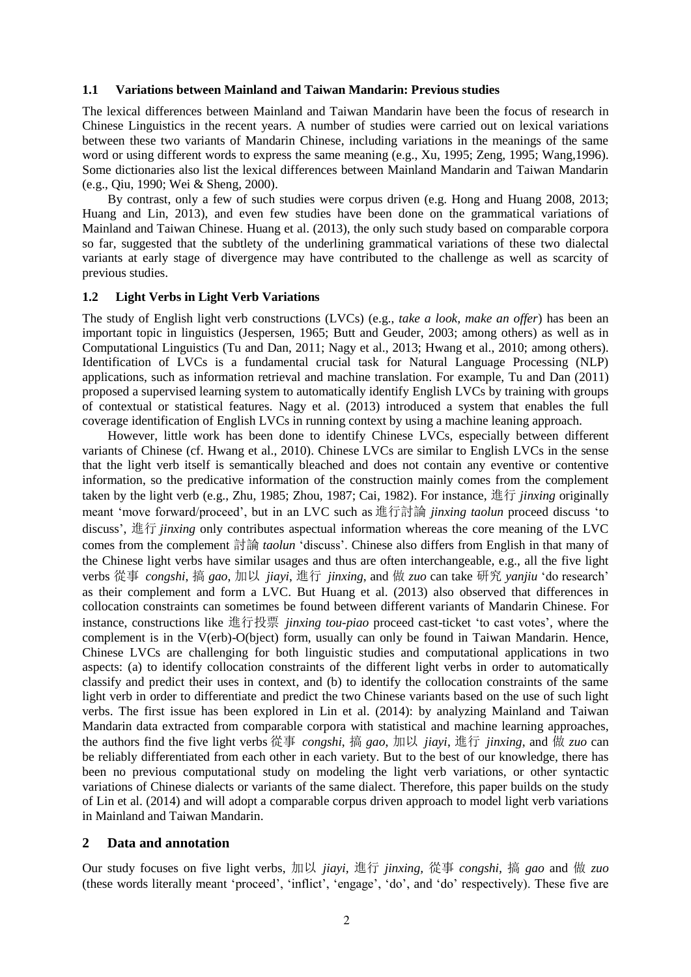#### **1.1 Variations between Mainland and Taiwan Mandarin: Previous studies**

The lexical differences between Mainland and Taiwan Mandarin have been the focus of research in Chinese Linguistics in the recent years. A number of studies were carried out on lexical variations between these two variants of Mandarin Chinese, including variations in the meanings of the same word or using different words to express the same meaning (e.g., Xu, 1995; Zeng, 1995; Wang,1996). Some dictionaries also list the lexical differences between Mainland Mandarin and Taiwan Mandarin (e.g., Qiu, 1990; Wei & Sheng, 2000).

By contrast, only a few of such studies were corpus driven (e.g. Hong and Huang 2008, 2013; Huang and Lin, 2013), and even few studies have been done on the grammatical variations of Mainland and Taiwan Chinese. Huang et al. (2013), the only such study based on comparable corpora so far, suggested that the subtlety of the underlining grammatical variations of these two dialectal variants at early stage of divergence may have contributed to the challenge as well as scarcity of previous studies.

#### **1.2 Light Verbs in Light Verb Variations**

The study of English light verb constructions (LVCs) (e.g., *take a look, make an offer*) has been an important topic in linguistics (Jespersen, 1965; Butt and Geuder, 2003; among others) as well as in Computational Linguistics (Tu and Dan, 2011; Nagy et al., 2013; Hwang et al., 2010; among others). Identification of LVCs is a fundamental crucial task for Natural Language Processing (NLP) applications, such as information retrieval and machine translation. For example, Tu and Dan (2011) proposed a supervised learning system to automatically identify English LVCs by training with groups of contextual or statistical features. Nagy et al. (2013) introduced a system that enables the full coverage identification of English LVCs in running context by using a machine leaning approach.

However, little work has been done to identify Chinese LVCs, especially between different variants of Chinese (cf. Hwang et al., 2010). Chinese LVCs are similar to English LVCs in the sense that the light verb itself is semantically bleached and does not contain any eventive or contentive information, so the predicative information of the construction mainly comes from the complement taken by the light verb (e.g., Zhu, 1985; Zhou, 1987; Cai, 1982). For instance, 進行 *jinxing* originally meant 'move forward/proceed', but in an LVC such as 進行討論 *jinxing taolun* proceed discuss 'to discuss', 進行 *jinxing* only contributes aspectual information whereas the core meaning of the LVC comes from the complement 討論 *taolun* 'discuss'. Chinese also differs from English in that many of the Chinese light verbs have similar usages and thus are often interchangeable, e.g., all the five light verbs 從事 *congshi*, 搞 *gao*, 加以 *jiayi*, 進行 *jinxing*, and 做 *zuo* can take 研究 *yanjiu* 'do research' as their complement and form a LVC. But Huang et al. (2013) also observed that differences in collocation constraints can sometimes be found between different variants of Mandarin Chinese. For instance, constructions like 進行投票 *jinxing tou-piao* proceed cast-ticket 'to cast votes', where the complement is in the V(erb)-O(bject) form, usually can only be found in Taiwan Mandarin. Hence, Chinese LVCs are challenging for both linguistic studies and computational applications in two aspects: (a) to identify collocation constraints of the different light verbs in order to automatically classify and predict their uses in context, and (b) to identify the collocation constraints of the same light verb in order to differentiate and predict the two Chinese variants based on the use of such light verbs. The first issue has been explored in Lin et al. (2014): by analyzing Mainland and Taiwan Mandarin data extracted from comparable corpora with statistical and machine learning approaches, the authors find the five light verbs 從事 *congshi*, 搞 *gao*, 加以 *jiayi*, 進行 *jinxing*, and 做 *zuo* can be reliably differentiated from each other in each variety. But to the best of our knowledge, there has been no previous computational study on modeling the light verb variations, or other syntactic variations of Chinese dialects or variants of the same dialect. Therefore, this paper builds on the study of Lin et al. (2014) and will adopt a comparable corpus driven approach to model light verb variations in Mainland and Taiwan Mandarin.

#### **2 Data and annotation**

Our study focuses on five light verbs, 加以 *jiayi,* 進行 *jinxing,* 從事 *congshi,* 搞 *gao* and 做 *zuo* (these words literally meant 'proceed', 'inflict', 'engage', 'do', and 'do' respectively). These five are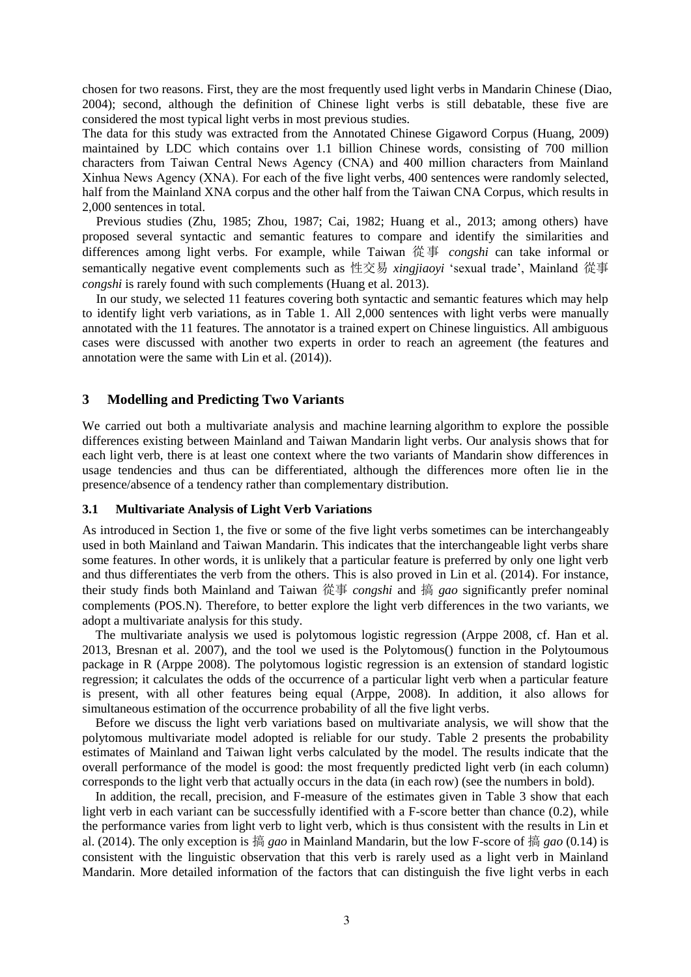chosen for two reasons. First, they are the most frequently used light verbs in Mandarin Chinese (Diao, 2004); second, although the definition of Chinese light verbs is still debatable, these five are considered the most typical light verbs in most previous studies.

The data for this study was extracted from the Annotated Chinese Gigaword Corpus (Huang, 2009) maintained by LDC which contains over 1.1 billion Chinese words, consisting of 700 million characters from Taiwan Central News Agency (CNA) and 400 million characters from Mainland Xinhua News Agency (XNA). For each of the five light verbs, 400 sentences were randomly selected, half from the Mainland XNA corpus and the other half from the Taiwan CNA Corpus, which results in 2,000 sentences in total.

Previous studies (Zhu, 1985; Zhou, 1987; Cai, 1982; Huang et al., 2013; among others) have proposed several syntactic and semantic features to compare and identify the similarities and differences among light verbs. For example, while Taiwan 從事 *congshi* can take informal or semantically negative event complements such as 性交易 *xingjiaoyi* 'sexual trade', Mainland 從事 *congshi* is rarely found with such complements (Huang et al. 2013).

In our study, we selected 11 features covering both syntactic and semantic features which may help to identify light verb variations, as in Table 1. All 2,000 sentences with light verbs were manually annotated with the 11 features. The annotator is a trained expert on Chinese linguistics. All ambiguous cases were discussed with another two experts in order to reach an agreement (the features and annotation were the same with Lin et al. (2014)).

#### **3 Modelling and Predicting Two Variants**

We carried out both a multivariate analysis and machine learning algorithm to explore the possible differences existing between Mainland and Taiwan Mandarin light verbs. Our analysis shows that for each light verb, there is at least one context where the two variants of Mandarin show differences in usage tendencies and thus can be differentiated, although the differences more often lie in the presence/absence of a tendency rather than complementary distribution.

#### **3.1 Multivariate Analysis of Light Verb Variations**

As introduced in Section 1, the five or some of the five light verbs sometimes can be interchangeably used in both Mainland and Taiwan Mandarin. This indicates that the interchangeable light verbs share some features. In other words, it is unlikely that a particular feature is preferred by only one light verb and thus differentiates the verb from the others. This is also proved in Lin et al. (2014). For instance, their study finds both Mainland and Taiwan 從事 *congshi* and 搞 *gao* significantly prefer nominal complements (POS.N). Therefore, to better explore the light verb differences in the two variants, we adopt a multivariate analysis for this study.

The multivariate analysis we used is polytomous logistic regression (Arppe 2008, cf. Han et al. 2013, Bresnan et al. 2007), and the tool we used is the Polytomous() function in the Polytoumous package in R (Arppe 2008). The polytomous logistic regression is an extension of standard logistic regression; it calculates the odds of the occurrence of a particular light verb when a particular feature is present, with all other features being equal (Arppe, 2008). In addition, it also allows for simultaneous estimation of the occurrence probability of all the five light verbs.

Before we discuss the light verb variations based on multivariate analysis, we will show that the polytomous multivariate model adopted is reliable for our study. Table 2 presents the probability estimates of Mainland and Taiwan light verbs calculated by the model. The results indicate that the overall performance of the model is good: the most frequently predicted light verb (in each column) corresponds to the light verb that actually occurs in the data (in each row) (see the numbers in bold).

In addition, the recall, precision, and F-measure of the estimates given in Table 3 show that each light verb in each variant can be successfully identified with a F-score better than chance (0.2), while the performance varies from light verb to light verb, which is thus consistent with the results in Lin et al. (2014). The only exception is 搞 *gao* in Mainland Mandarin, but the low F-score of 搞 *gao* (0.14) is consistent with the linguistic observation that this verb is rarely used as a light verb in Mainland Mandarin. More detailed information of the factors that can distinguish the five light verbs in each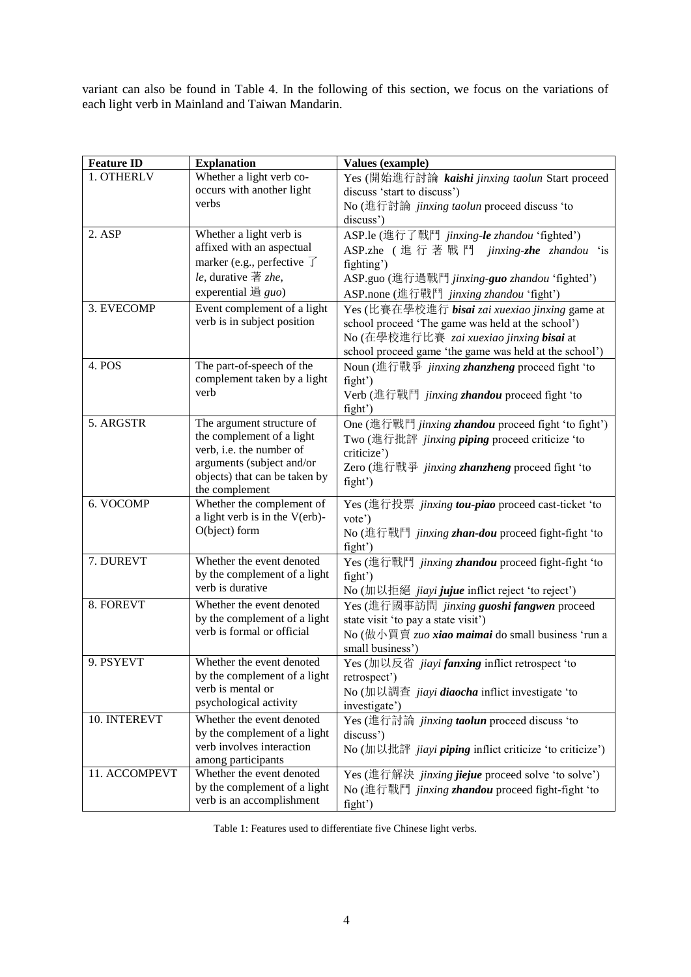variant can also be found in Table 4. In the following of this section, we focus on the variations of each light verb in Mainland and Taiwan Mandarin.

| <b>Feature ID</b> | <b>Explanation</b>                                         | Values (example)                                                                                   |
|-------------------|------------------------------------------------------------|----------------------------------------------------------------------------------------------------|
| 1. OTHERLV        | Whether a light verb co-                                   | Yes (開始進行討論 kaishi jinxing taolun Start proceed                                                    |
|                   | occurs with another light                                  | discuss 'start to discuss')                                                                        |
|                   | verbs                                                      | No (進行討論 jinxing taolun proceed discuss 'to                                                        |
|                   |                                                            | discuss')                                                                                          |
| $2.$ ASP          | Whether a light verb is                                    | ASP.le (進行了戰鬥 jinxing-le zhandou 'fighted')                                                        |
|                   | affixed with an aspectual                                  | ASP.zhe (進行著戰鬥 jinxing-zhe zhandou 'is                                                             |
|                   | marker (e.g., perfective $\overrightarrow{J}$              | fighting')                                                                                         |
|                   | le, durative 著 zhe,                                        | ASP.guo (進行過戰鬥 jinxing-guo zhandou 'fighted')                                                      |
|                   | experential $\frac{16}{10}$ guo)                           | ASP.none (進行戰鬥 jinxing zhandou 'fight')                                                            |
| 3. EVECOMP        | Event complement of a light<br>verb is in subject position | Yes (比賽在學校進行 bisai zai xuexiao jinxing game at                                                     |
|                   |                                                            | school proceed 'The game was held at the school')                                                  |
|                   |                                                            | No (在學校進行比賽 zai xuexiao jinxing bisai at<br>school proceed game 'the game was held at the school') |
| 4. POS            | The part-of-speech of the                                  | Noun (進行戰爭 jinxing zhanzheng proceed fight 'to                                                     |
|                   | complement taken by a light                                | fight')                                                                                            |
|                   | verb                                                       | Verb (進行戰鬥 jinxing <b>zhandou</b> proceed fight 'to                                                |
|                   |                                                            | fight')                                                                                            |
| 5. ARGSTR         | The argument structure of                                  | One (進行戰鬥 jinxing zhandou proceed fight 'to fight')                                                |
|                   | the complement of a light                                  | Two (進行批評 jinxing <b>piping</b> proceed criticize 'to                                              |
|                   | verb, i.e. the number of                                   | criticize')                                                                                        |
|                   | arguments (subject and/or                                  | Zero (進行戰爭 jinxing zhanzheng proceed fight 'to                                                     |
|                   | objects) that can be taken by                              | fight')                                                                                            |
| 6. VOCOMP         | the complement<br>Whether the complement of                | Yes (進行投票 jinxing tou-piao proceed cast-ticket 'to                                                 |
|                   | a light verb is in the V(erb)-                             | vote')                                                                                             |
|                   | O(bject) form                                              | No (進行戰鬥 jinxing zhan-dou proceed fight-fight 'to                                                  |
|                   |                                                            | fight')                                                                                            |
| 7. DUREVT         | Whether the event denoted                                  | Yes (進行戰鬥 jinxing zhandou proceed fight-fight 'to                                                  |
|                   | by the complement of a light                               | fight')                                                                                            |
|                   | verb is durative                                           | No (加以拒絕 jiayi jujue inflict reject 'to reject')                                                   |
| 8. FOREVT         | Whether the event denoted                                  | Yes (進行國事訪問 jinxing guoshi fangwen proceed                                                         |
|                   | by the complement of a light                               | state visit 'to pay a state visit')                                                                |
|                   | verb is formal or official                                 | No (做小買賣 zuo xiao maimai do small business 'run a                                                  |
|                   |                                                            | small business')                                                                                   |
| 9. PSYEVT         | Whether the event denoted<br>by the complement of a light  | Yes (加以反省 jiayi fanxing inflict retrospect 'to                                                     |
|                   | verb is mental or                                          | retrospect')                                                                                       |
|                   | psychological activity                                     | No (加以調査 jiayi diaocha inflict investigate 'to<br>investigate')                                    |
| 10. INTEREVT      | Whether the event denoted                                  | Yes (進行討論 jinxing taolun proceed discuss 'to                                                       |
|                   | by the complement of a light                               | discuss')                                                                                          |
|                   | verb involves interaction                                  | No (加以批評 jiayi piping inflict criticize 'to criticize')                                            |
|                   | among participants                                         |                                                                                                    |
| 11. ACCOMPEVT     | Whether the event denoted                                  | Yes (進行解決 <i>jinxing <b>jiejue</b></i> proceed solve 'to solve')                                   |
|                   | by the complement of a light                               | No (進行戰鬥 jinxing zhandou proceed fight-fight 'to                                                   |
|                   | verb is an accomplishment                                  | fight')                                                                                            |

Table 1: Features used to differentiate five Chinese light verbs.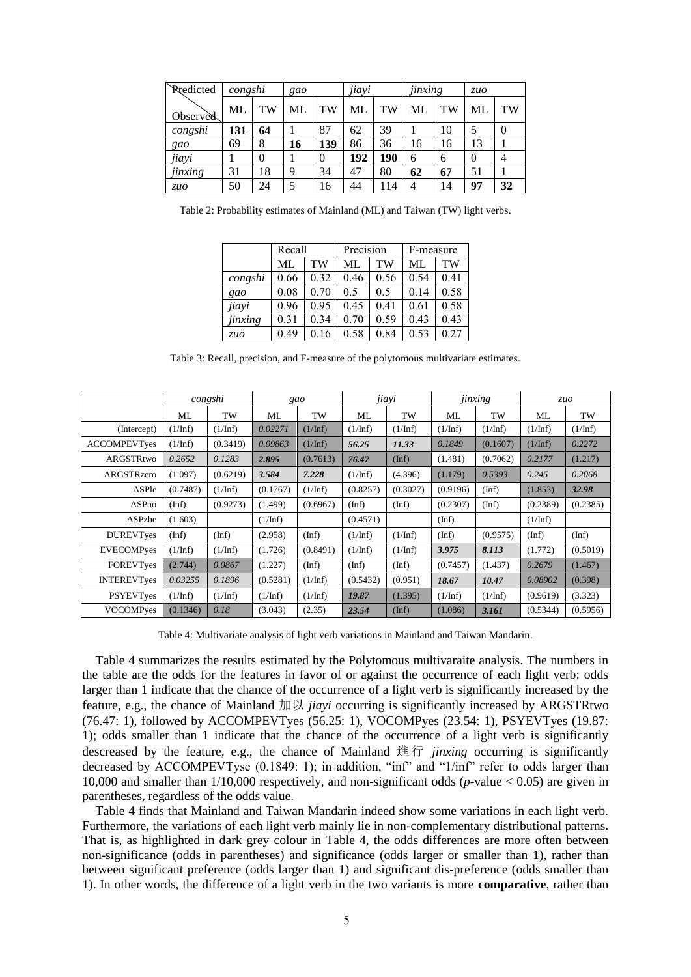| <b>R</b> redicted | congshi |    | gao |     | jiayi |     | <br>jinxing |           | ZMO      |                |
|-------------------|---------|----|-----|-----|-------|-----|-------------|-----------|----------|----------------|
| <b>Observed</b>   | ML      | TW | ML  | TW  | ML    | TW  | ML          | <b>TW</b> | ML       | TW             |
| congshi           | 131     | 64 |     | 87  | 62    | 39  |             | 10        |          | 0              |
| gao               | 69      | 8  | 16  | 139 | 86    | 36  | 16          | 16        | 13       |                |
| jiayi             |         | 0  |     | 0   | 192   | 190 | 6           | 6         | $\theta$ | $\overline{4}$ |
| jinxing           | 31      | 18 | 9   | 34  | 47    | 80  | 62          | 67        | 51       |                |
| ZMO               | 50      | 24 | 5   | 16  | 44    | 114 | 4           | 14        | 97       | 32             |

Table 2: Probability estimates of Mainland (ML) and Taiwan (TW) light verbs.

|         | Recall |      | Precision |      | F-measure |      |  |
|---------|--------|------|-----------|------|-----------|------|--|
|         | ML     | TW   |           | TW   | ML        | TW   |  |
| congshi | 0.66   | 0.32 | 0.46      | 0.56 | 0.54      | 0.41 |  |
| gao     | 0.08   | 0.70 | 0.5       | 0.5  | 0.14      | 0.58 |  |
| jiayi   | 0.96   | 0.95 | 0.45      | 0.41 | 0.61      | 0.58 |  |
| jinxing | 0.31   | 0.34 | 0.70      | 0.59 | 0.43      | 0.43 |  |
| ZMO     | 0.49   | 0.16 | 0.58      | 0.84 | 0.53      | 0.27 |  |

Table 3: Recall, precision, and F-measure of the polytomous multivariate estimates.

|                     | congshi        |             | gao         |                  | jiayi            |                | jinxing        |                  | ZMO            |             |
|---------------------|----------------|-------------|-------------|------------------|------------------|----------------|----------------|------------------|----------------|-------------|
|                     | ML             | TW          | ML          | TW               | ML               | TW             | ML             | TW               | ML             | TW          |
| (Intercept)         | $(1/\ln f)$    | $(1/\ln f)$ | 0.02271     | $(1/\text{Inf})$ | $(1/\ln f)$      | $(1/\ln f)$    | $(1/\ln f)$    | $(1/\text{Inf})$ | $(1/\ln f)$    | $(1/\ln f)$ |
| <b>ACCOMPEVTyes</b> | $(1/\ln f)$    | (0.3419)    | 0.09863     | $(1/\text{Inf})$ | 56.25            | 11.33          | 0.1849         | (0.1607)         | $(1/\ln f)$    | 0.2272      |
| <b>ARGSTRtwo</b>    | 0.2652         | 0.1283      | 2.895       | (0.7613)         | 76.47            | $(\text{Inf})$ | (1.481)        | (0.7062)         | 0.2177         | (1.217)     |
| ARGSTRzero          | (1.097)        | (0.6219)    | 3.584       | 7.228            | $(1/\text{Inf})$ | (4.396)        | (1.179)        | 0.5393           | 0.245          | 0.2068      |
| ASPle               | (0.7487)       | $(1/\ln f)$ | (0.1767)    | $(1/\ln f)$      | (0.8257)         | (0.3027)       | (0.9196)       | $(\text{Inf})$   | (1.853)        | 32.98       |
| ASPno               | $(\text{Inf})$ | (0.9273)    | (1.499)     | (0.6967)         | $(\text{Inf})$   | $(\text{Inf})$ | (0.2307)       | $(\text{Inf})$   | (0.2389)       | (0.2385)    |
| ASPzhe              | (1.603)        |             | $(1/\ln f)$ |                  | (0.4571)         |                | $(\text{Inf})$ |                  | $(1/\ln f)$    |             |
| <b>DUREVTyes</b>    | $(\text{Inf})$ | (Inf)       | (2.958)     | (Inf)            | $(1/\ln f)$      | $(1/\ln f)$    | (Inf)          | (0.9575)         | $(\text{Inf})$ | (Inf)       |
| <b>EVECOMPyes</b>   | $(1/\ln f)$    | $(1/\ln f)$ | (1.726)     | (0.8491)         | $(1/\ln f)$      | $(1/\ln f)$    | 3.975          | 8.113            | (1.772)        | (0.5019)    |
| <b>FOREVTyes</b>    | (2.744)        | 0.0867      | (1.227)     | (Inf)            | $(\text{Inf})$   | $(\text{Inf})$ | (0.7457)       | (1.437)          | 0.2679         | (1.467)     |
| <b>INTEREVTyes</b>  | 0.03255        | 0.1896      | (0.5281)    | $(1/\ln f)$      | (0.5432)         | (0.951)        | 18.67          | 10.47            | 0.08902        | (0.398)     |
| <b>PSYEVTyes</b>    | $(1/\ln f)$    | $(1/\ln f)$ | $(1/\ln f)$ | $(1/\ln f)$      | 19.87            | (1.395)        | $(1/\ln f)$    | $(1/\text{Inf})$ | (0.9619)       | (3.323)     |
| <b>VOCOMPves</b>    | (0.1346)       | 0.18        | (3.043)     | (2.35)           | 23.54            | $(\text{Inf})$ | (1.086)        | 3.161            | (0.5344)       | (0.5956)    |

Table 4: Multivariate analysis of light verb variations in Mainland and Taiwan Mandarin.

Table 4 summarizes the results estimated by the Polytomous multivaraite analysis. The numbers in the table are the odds for the features in favor of or against the occurrence of each light verb: odds larger than 1 indicate that the chance of the occurrence of a light verb is significantly increased by the feature, e.g., the chance of Mainland 加以 *jiayi* occurring is significantly increased by ARGSTRtwo (76.47: 1), followed by ACCOMPEVTyes (56.25: 1), VOCOMPyes (23.54: 1), PSYEVTyes (19.87: 1); odds smaller than 1 indicate that the chance of the occurrence of a light verb is significantly descreased by the feature, e.g., the chance of Mainland 進行 *jinxing* occurring is significantly decreased by ACCOMPEVTyse  $(0.1849: 1)$ ; in addition, "inf" and "1/inf" refer to odds larger than 10,000 and smaller than 1/10,000 respectively, and non-significant odds (*p*-value < 0.05) are given in parentheses, regardless of the odds value.

Table 4 finds that Mainland and Taiwan Mandarin indeed show some variations in each light verb. Furthermore, the variations of each light verb mainly lie in non-complementary distributional patterns. That is, as highlighted in dark grey colour in Table 4, the odds differences are more often between non-significance (odds in parentheses) and significance (odds larger or smaller than 1), rather than between significant preference (odds larger than 1) and significant dis-preference (odds smaller than 1). In other words, the difference of a light verb in the two variants is more **comparative**, rather than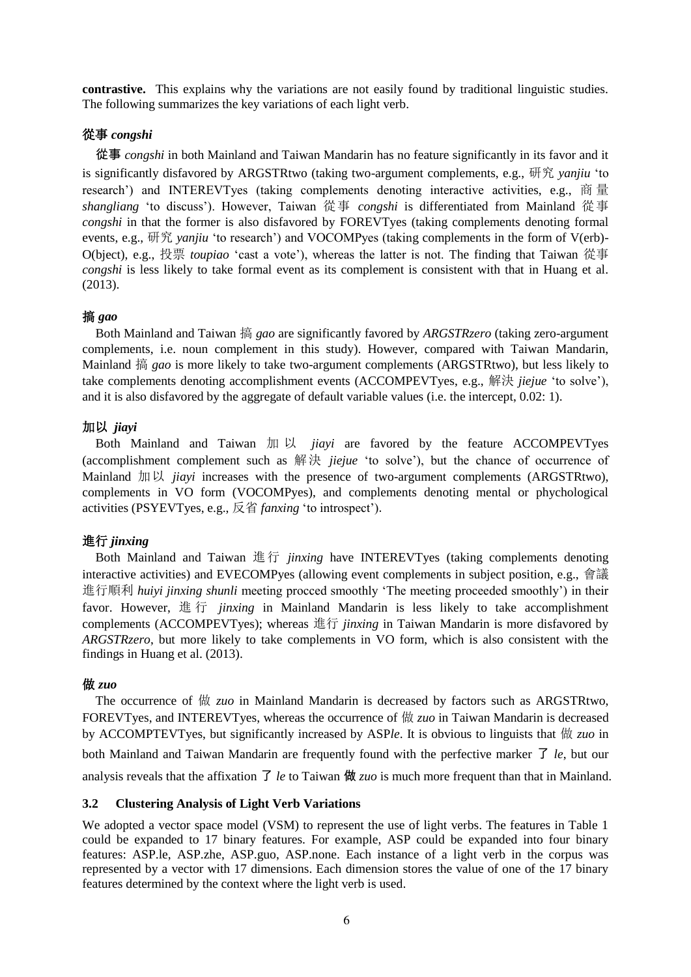**contrastive.** This explains why the variations are not easily found by traditional linguistic studies. The following summarizes the key variations of each light verb.

# 從事 *congshi*

從事 *congshi* in both Mainland and Taiwan Mandarin has no feature significantly in its favor and it is significantly disfavored by ARGSTRtwo (taking two-argument complements, e.g., 研究 *yanjiu* 'to research') and INTEREVTyes (taking complements denoting interactive activities, e.g., 商 量 *shangliang* 'to discuss'). However, Taiwan 從事 *congshi* is differentiated from Mainland 從事 *congshi* in that the former is also disfavored by FOREVTyes (taking complements denoting formal events, e.g., 研究 *yanjiu* 'to research') and VOCOMPyes (taking complements in the form of V(erb)- O(bject), e.g., 投票 *toupiao* 'cast a vote'), whereas the latter is not. The finding that Taiwan 從事 *congshi* is less likely to take formal event as its complement is consistent with that in Huang et al. (2013).

# 搞 *gao*

Both Mainland and Taiwan 搞 *gao* are significantly favored by *ARGSTRzero* (taking zero-argument complements, i.e. noun complement in this study). However, compared with Taiwan Mandarin, Mainland 搞 *gao* is more likely to take two-argument complements (ARGSTRtwo), but less likely to take complements denoting accomplishment events (ACCOMPEVTyes, e.g., 解決 *jiejue* 'to solve'), and it is also disfavored by the aggregate of default variable values (i.e. the intercept, 0.02: 1).

# 加以 *jiayi*

Both Mainland and Taiwan 加 以 *jiayi* are favored by the feature ACCOMPEVTyes (accomplishment complement such as 解決 *jiejue* 'to solve'), but the chance of occurrence of Mainland 加以 *jiayi* increases with the presence of two-argument complements (ARGSTRtwo), complements in VO form (VOCOMPyes), and complements denoting mental or phychological activities (PSYEVTyes, e.g., 反省 *fanxing* 'to introspect').

# 進行 *jinxing*

Both Mainland and Taiwan 進行 *jinxing* have INTEREVTyes (taking complements denoting interactive activities) and EVECOMPyes (allowing event complements in subject position, e.g., 會議 進行順利 *huivi jinxing shunli* meeting procced smoothly 'The meeting proceeded smoothly') in their favor. However, 進 行 *jinxing* in Mainland Mandarin is less likely to take accomplishment complements (ACCOMPEVTyes); whereas 進行 *jinxing* in Taiwan Mandarin is more disfavored by *ARGSTRzero*, but more likely to take complements in VO form, which is also consistent with the findings in Huang et al. (2013).

# 做 *zuo*

The occurrence of 做 *zuo* in Mainland Mandarin is decreased by factors such as ARGSTRtwo, FOREVTyes, and INTEREVTyes, whereas the occurrence of 做 *zuo* in Taiwan Mandarin is decreased by ACCOMPTEVTyes, but significantly increased by ASP*le*. It is obvious to linguists that 做 *zuo* in both Mainland and Taiwan Mandarin are frequently found with the perfective marker 了 *le*, but our analysis reveals that the affixation 了 *le* to Taiwan 做 *zuo* is much more frequent than that in Mainland.

# **3.2 Clustering Analysis of Light Verb Variations**

We adopted a vector space model (VSM) to represent the use of light verbs. The features in Table 1 could be expanded to 17 binary features. For example, ASP could be expanded into four binary features: ASP.le, ASP.zhe, ASP.guo, ASP.none. Each instance of a light verb in the corpus was represented by a vector with 17 dimensions. Each dimension stores the value of one of the 17 binary features determined by the context where the light verb is used.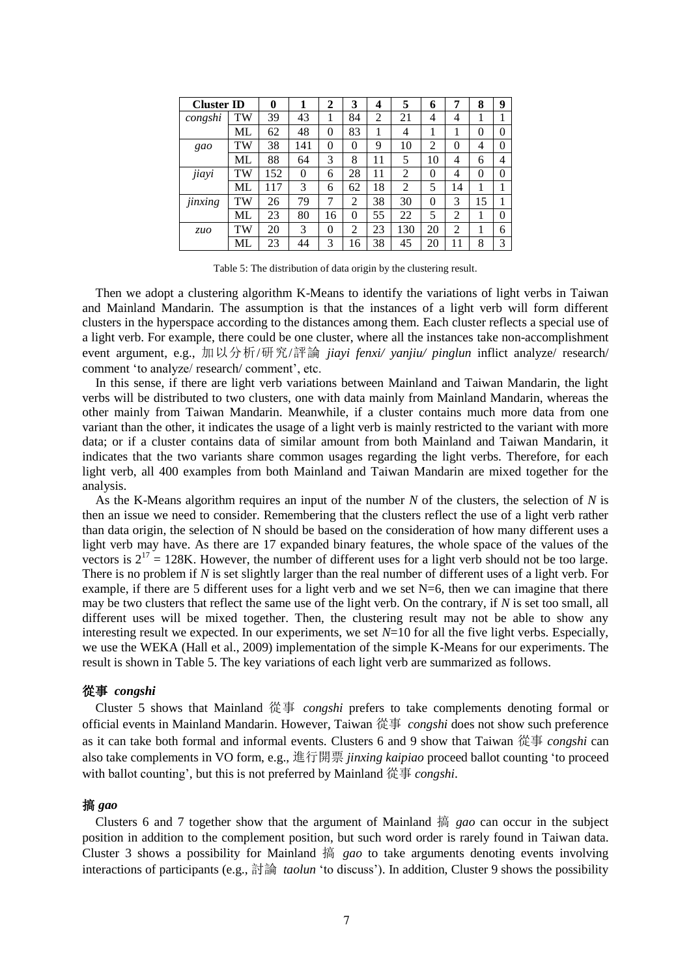| <b>Cluster ID</b> |    | 0   |          | $\overline{2}$ | 3        | 4  | 5              | 6              | 7              | 8  | 9 |
|-------------------|----|-----|----------|----------------|----------|----|----------------|----------------|----------------|----|---|
| congshi           | TW | 39  | 43       |                | 84       | 2  | 21             | 4              | 4              |    | 1 |
|                   | ML | 62  | 48       | 0              | 83       | 1  | 4              | 1              |                | 0  | 0 |
| gao               | TW | 38  | 141      | 0              | 0        | 9  | 10             | $\overline{2}$ | $\overline{0}$ | 4  | 0 |
|                   | ML | 88  | 64       | 3              | 8        | 11 | 5              | 10             | 4              | 6  | 4 |
| jiayi             | TW | 152 | $\theta$ | 6              | 28       | 11 | 2              | $\theta$       | 4              | 0  | 0 |
|                   | ML | 117 | 3        | 6              | 62       | 18 | $\overline{2}$ | 5              | 14             |    | 1 |
| jinxing           | TW | 26  | 79       | 7              | 2        | 38 | 30             | 0              | 3              | 15 | 1 |
|                   | ML | 23  | 80       | 16             | $\theta$ | 55 | 22             | 5              | $\overline{c}$ |    | 0 |
| ZMO               | TW | 20  | 3        | 0              | 2        | 23 | 130            | 20             | $\overline{2}$ |    | 6 |
|                   | ML | 23  | 44       | 3              | 16       | 38 | 45             | 20             | 11             | 8  | 3 |

Table 5: The distribution of data origin by the clustering result.

Then we adopt a clustering algorithm K-Means to identify the variations of light verbs in Taiwan and Mainland Mandarin. The assumption is that the instances of a light verb will form different clusters in the hyperspace according to the distances among them. Each cluster reflects a special use of a light verb. For example, there could be one cluster, where all the instances take non-accomplishment event argument, e.g., 加以分析/研究/評論 *jiayi fenxi/ yanjiu/ pinglun* inflict analyze/ research/ comment 'to analyze/ research/ comment', etc.

In this sense, if there are light verb variations between Mainland and Taiwan Mandarin, the light verbs will be distributed to two clusters, one with data mainly from Mainland Mandarin, whereas the other mainly from Taiwan Mandarin. Meanwhile, if a cluster contains much more data from one variant than the other, it indicates the usage of a light verb is mainly restricted to the variant with more data; or if a cluster contains data of similar amount from both Mainland and Taiwan Mandarin, it indicates that the two variants share common usages regarding the light verbs. Therefore, for each light verb, all 400 examples from both Mainland and Taiwan Mandarin are mixed together for the analysis.

As the K-Means algorithm requires an input of the number *N* of the clusters, the selection of *N* is then an issue we need to consider. Remembering that the clusters reflect the use of a light verb rather than data origin, the selection of N should be based on the consideration of how many different uses a light verb may have. As there are 17 expanded binary features, the whole space of the values of the vectors is  $2^{17} = 128K$ . However, the number of different uses for a light verb should not be too large. There is no problem if *N* is set slightly larger than the real number of different uses of a light verb. For example, if there are 5 different uses for a light verb and we set  $N=6$ , then we can imagine that there may be two clusters that reflect the same use of the light verb. On the contrary, if *N* is set too small, all different uses will be mixed together. Then, the clustering result may not be able to show any interesting result we expected. In our experiments, we set  $N=10$  for all the five light verbs. Especially, we use the WEKA (Hall et al., 2009) implementation of the simple K-Means for our experiments. The result is shown in Table 5. The key variations of each light verb are summarized as follows.

#### 從事 *congshi*

Cluster 5 shows that Mainland 從事 *congshi* prefers to take complements denoting formal or official events in Mainland Mandarin. However, Taiwan 從事 *congshi* does not show such preference as it can take both formal and informal events. Clusters 6 and 9 show that Taiwan 從事 *congshi* can also take complements in VO form, e.g., 進行開票 *jinxing kaipiao* proceed ballot counting 'to proceed with ballot counting', but this is not preferred by Mainland 從事 *congshi*.

#### 搞 *gao*

Clusters 6 and 7 together show that the argument of Mainland 搞 *gao* can occur in the subject position in addition to the complement position, but such word order is rarely found in Taiwan data. Cluster 3 shows a possibility for Mainland 搞 *gao* to take arguments denoting events involving interactions of participants (e.g., 討論 *taolun* 'to discuss'). In addition, Cluster 9 shows the possibility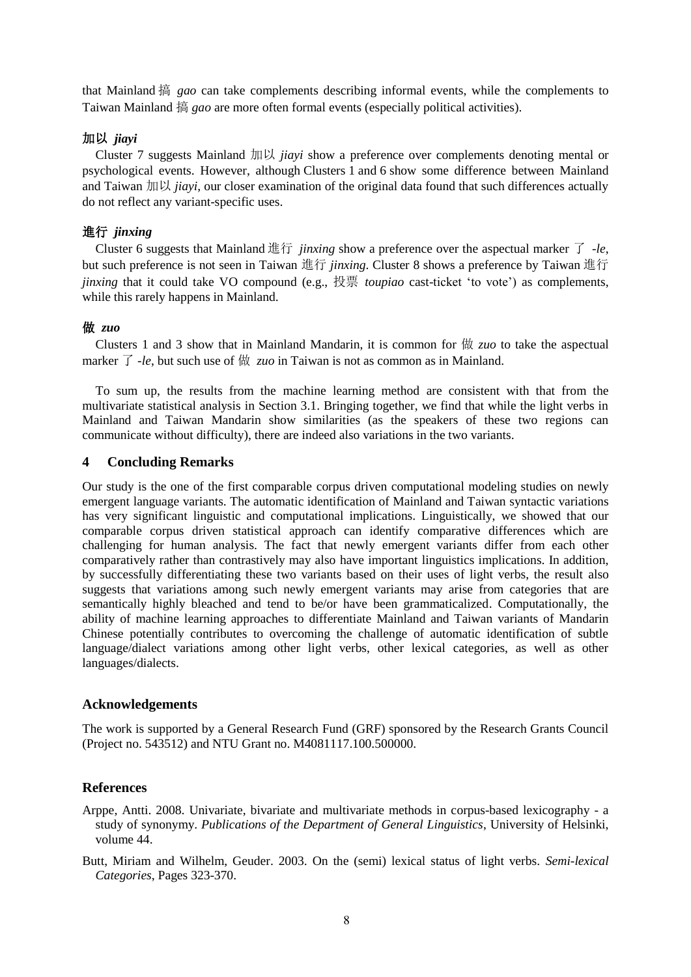that Mainland 搞 *gao* can take complements describing informal events, while the complements to Taiwan Mainland 搞 *gao* are more often formal events (especially political activities).

# 加以 *jiayi*

Cluster 7 suggests Mainland 加以 *jiayi* show a preference over complements denoting mental or psychological events. However, although Clusters 1 and 6 show some difference between Mainland and Taiwan 加以 *jiayi*, our closer examination of the original data found that such differences actually do not reflect any variant-specific uses.

### 進行 *jinxing*

Cluster 6 suggests that Mainland 進行 *jinxing* show a preference over the aspectual marker 了 *-le*, but such preference is not seen in Taiwan 進行 *jinxing*. Cluster 8 shows a preference by Taiwan 進行 *jinxing* that it could take VO compound (e.g., 投票 *toupiao* cast-ticket 'to vote') as complements, while this rarely happens in Mainland.

### 做 *zuo*

Clusters 1 and 3 show that in Mainland Mandarin, it is common for 做 *zuo* to take the aspectual marker  $\overrightarrow{J}$  *-le*, but such use of  $\overrightarrow{W}$  *zuo* in Taiwan is not as common as in Mainland.

To sum up, the results from the machine learning method are consistent with that from the multivariate statistical analysis in Section 3.1. Bringing together, we find that while the light verbs in Mainland and Taiwan Mandarin show similarities (as the speakers of these two regions can communicate without difficulty), there are indeed also variations in the two variants.

### **4 Concluding Remarks**

Our study is the one of the first comparable corpus driven computational modeling studies on newly emergent language variants. The automatic identification of Mainland and Taiwan syntactic variations has very significant linguistic and computational implications. Linguistically, we showed that our comparable corpus driven statistical approach can identify comparative differences which are challenging for human analysis. The fact that newly emergent variants differ from each other comparatively rather than contrastively may also have important linguistics implications. In addition, by successfully differentiating these two variants based on their uses of light verbs, the result also suggests that variations among such newly emergent variants may arise from categories that are semantically highly bleached and tend to be/or have been grammaticalized. Computationally, the ability of machine learning approaches to differentiate Mainland and Taiwan variants of Mandarin Chinese potentially contributes to overcoming the challenge of automatic identification of subtle language/dialect variations among other light verbs, other lexical categories, as well as other languages/dialects.

### **Acknowledgements**

The work is supported by a General Research Fund (GRF) sponsored by the Research Grants Council (Project no. 543512) and NTU Grant no. M4081117.100.500000.

### **References**

- Arppe, Antti. 2008. Univariate, bivariate and multivariate methods in corpus-based lexicography a study of synonymy. *Publications of the Department of General Linguistics*, University of Helsinki, volume 44.
- Butt, Miriam and Wilhelm, Geuder. 2003. On the (semi) lexical status of light verbs. *Semi-lexical Categories*, Pages 323-370.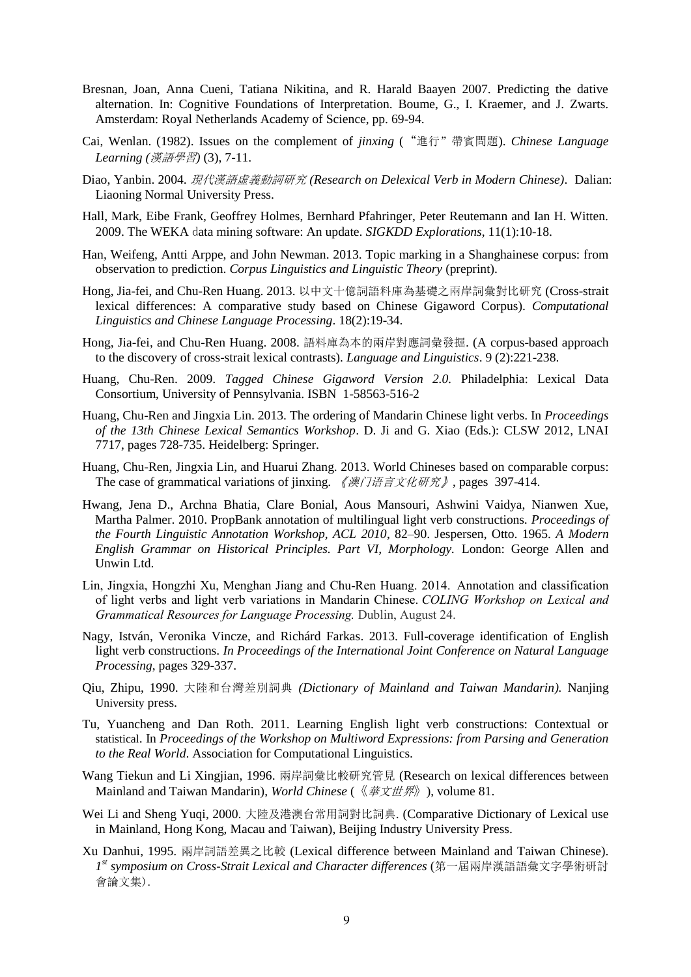- Bresnan, Joan, Anna Cueni, Tatiana Nikitina, and R. Harald Baayen 2007. Predicting the dative alternation. In: Cognitive Foundations of Interpretation. Boume, G., I. Kraemer, and J. Zwarts. Amsterdam: Royal Netherlands Academy of Science, pp. 69-94.
- Cai, Wenlan. (1982). Issues on the complement of *jinxing* ("進行"帶賓問題). *Chinese Language Learning (*漢語學習*)* (3), 7-11.
- Diao, Yanbin. 2004. 現代漢語虛義動詞研究 *(Research on Delexical Verb in Modern Chinese)*. Dalian: Liaoning Normal University Press.
- Hall, Mark, Eibe Frank, Geoffrey Holmes, Bernhard Pfahringer, Peter Reutemann and Ian H. Witten. 2009. The WEKA data mining software: An update. *SIGKDD Explorations*, 11(1):10-18.
- Han, Weifeng, Antti Arppe, and John Newman. 2013. Topic marking in a Shanghainese corpus: from observation to prediction. *Corpus Linguistics and Linguistic Theory* (preprint).
- Hong, Jia-fei, and Chu-Ren Huang. 2013. 以中文十億詞語料庫為基礎之兩岸詞彙對比研究 (Cross-strait lexical differences: A comparative study based on Chinese Gigaword Corpus). *Computational Linguistics and Chinese Language Processing*. 18(2):19-34.
- Hong, Jia-fei, and Chu-Ren Huang. 2008. 語料庫為本的兩岸對應詞彙發掘. (A corpus-based approach to the discovery of cross-strait lexical contrasts). *Language and Linguistics*. 9 (2):221-238.
- Huang, Chu-Ren. 2009. *Tagged Chinese Gigaword Version 2.0.* Philadelphia: Lexical Data Consortium, University of Pennsylvania. ISBN 1-58563-516-2
- Huang, Chu-Ren and Jingxia Lin. 2013. The ordering of Mandarin Chinese light verbs. In *Proceedings of the 13th Chinese Lexical Semantics Workshop*. D. Ji and G. Xiao (Eds.): CLSW 2012, LNAI 7717, pages 728-735. Heidelberg: Springer.
- Huang, Chu-Ren, Jingxia Lin, and Huarui Zhang. 2013. World Chineses based on comparable corpus: The case of grammatical variations of jinxing. 《澳门语言文化研究》, pages 397-414.
- Hwang, Jena D., Archna Bhatia, Clare Bonial, Aous Mansouri, Ashwini Vaidya, Nianwen Xue, Martha Palmer. 2010. PropBank annotation of multilingual light verb constructions*. Proceedings of the Fourth Linguistic Annotation Workshop, ACL 2010*, 82–90. Jespersen, Otto. 1965. *A Modern English Grammar on Historical Principles. Part VI, Morphology.* London: George Allen and Unwin Ltd.
- Lin, Jingxia, Hongzhi Xu, Menghan Jiang and Chu-Ren Huang. 2014. Annotation and classification of light verbs and light verb variations in Mandarin Chinese. *COLING Workshop on Lexical and Grammatical Resources for Language Processing.* Dublin, August 24.
- Nagy, István, Veronika Vincze, and Richárd Farkas. 2013. Full-coverage identification of English light verb constructions. *In Proceedings of the International Joint Conference on Natural Language Processing*, pages 329-337.
- Qiu, Zhipu, 1990. 大陸和台灣差別詞典 *(Dictionary of Mainland and Taiwan Mandarin).* Nanjing University press.
- Tu, Yuancheng and Dan Roth. 2011. Learning English light verb constructions: Contextual or statistical. In *Proceedings of the Workshop on Multiword Expressions: from Parsing and Generation to the Real World*. Association for Computational Linguistics.
- Wang Tiekun and Li Xingjian, 1996. 兩岸詞彙比較研究管見 (Research on lexical differences between Mainland and Taiwan Mandarin), *World Chinese* (《華文世界》), volume 81.
- Wei Li and Sheng Yuqi, 2000. 大陸及港澳台常用詞對比詞典. (Comparative Dictionary of Lexical use in Mainland, Hong Kong, Macau and Taiwan), Beijing Industry University Press.
- Xu Danhui, 1995. 兩岸詞語差異之比較 (Lexical difference between Mainland and Taiwan Chinese). *1 st symposium on Cross-Strait Lexical and Character differences* (第一屆兩岸漢語語彙文字學術研討 會論文集).